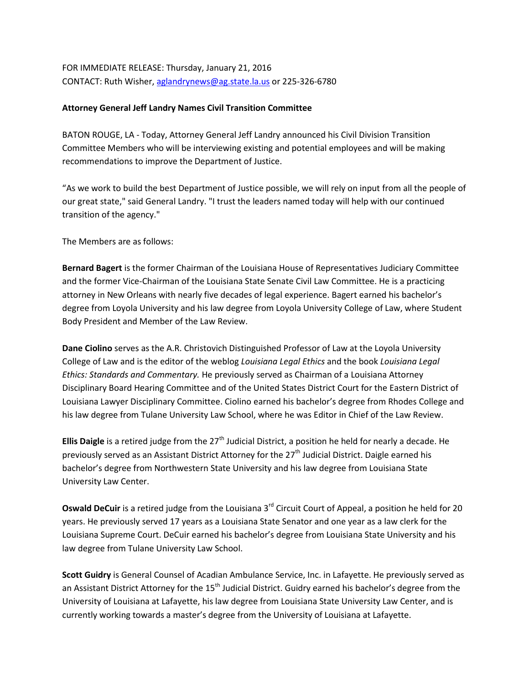FOR IMMEDIATE RELEASE: Thursday, January 21, 2016 CONTACT: Ruth Wisher, [aglandrynews@ag.state.la.us](mailto:aglandrynews@ag.state.la.us) or 225-326-6780

## **Attorney General Jeff Landry Names Civil Transition Committee**

BATON ROUGE, LA - Today, Attorney General Jeff Landry announced his Civil Division Transition Committee Members who will be interviewing existing and potential employees and will be making recommendations to improve the Department of Justice.

"As we work to build the best Department of Justice possible, we will rely on input from all the people of our great state," said General Landry. "I trust the leaders named today will help with our continued transition of the agency."

The Members are as follows:

**Bernard Bagert** is the former Chairman of the Louisiana House of Representatives Judiciary Committee and the former Vice-Chairman of the Louisiana State Senate Civil Law Committee. He is a practicing attorney in New Orleans with nearly five decades of legal experience. Bagert earned his bachelor's degree from Loyola University and his law degree from Loyola University College of Law, where Student Body President and Member of the Law Review.

**Dane Ciolino** serves as the A.R. Christovich Distinguished Professor of Law at the Loyola University College of Law and is the editor of the weblog *Louisiana Legal Ethics* and the book *Louisiana Legal Ethics: Standards and Commentary.* He previously served as Chairman of a Louisiana Attorney Disciplinary Board Hearing Committee and of the United States District Court for the Eastern District of Louisiana Lawyer Disciplinary Committee. Ciolino earned his bachelor's degree from Rhodes College and his law degree from Tulane University Law School, where he was Editor in Chief of the Law Review.

**Ellis Daigle** is a retired judge from the 27<sup>th</sup> Judicial District, a position he held for nearly a decade. He previously served as an Assistant District Attorney for the 27<sup>th</sup> Judicial District. Daigle earned his bachelor's degree from Northwestern State University and his law degree from Louisiana State University Law Center.

**Oswald DeCuir** is a retired judge from the Louisiana 3<sup>rd</sup> Circuit Court of Appeal, a position he held for 20 years. He previously served 17 years as a Louisiana State Senator and one year as a law clerk for the Louisiana Supreme Court. DeCuir earned his bachelor's degree from Louisiana State University and his law degree from Tulane University Law School.

**Scott Guidry** is General Counsel of Acadian Ambulance Service, Inc. in Lafayette. He previously served as an Assistant District Attorney for the 15<sup>th</sup> Judicial District. Guidry earned his bachelor's degree from the University of Louisiana at Lafayette, his law degree from Louisiana State University Law Center, and is currently working towards a master's degree from the University of Louisiana at Lafayette.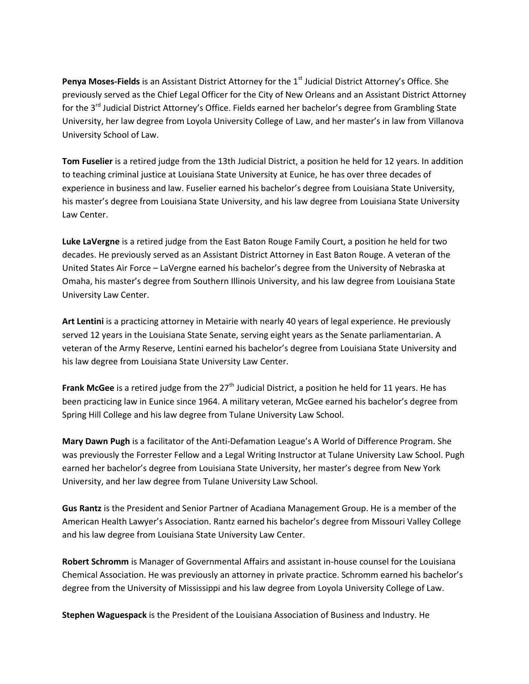Penya Moses-Fields is an Assistant District Attorney for the 1<sup>st</sup> Judicial District Attorney's Office. She previously served as the Chief Legal Officer for the City of New Orleans and an Assistant District Attorney for the 3<sup>rd</sup> Judicial District Attorney's Office. Fields earned her bachelor's degree from Grambling State University, her law degree from Loyola University College of Law, and her master's in law from Villanova University School of Law.

**Tom Fuselier** is a retired judge from the 13th Judicial District, a position he held for 12 years. In addition to teaching criminal justice at Louisiana State University at Eunice, he has over three decades of experience in business and law. Fuselier earned his bachelor's degree from Louisiana State University, his master's degree from Louisiana State University, and his law degree from Louisiana State University Law Center.

**Luke LaVergne** is a retired judge from the East Baton Rouge Family Court, a position he held for two decades. He previously served as an Assistant District Attorney in East Baton Rouge. A veteran of the United States Air Force – LaVergne earned his bachelor's degree from the University of Nebraska at Omaha, his master's degree from Southern Illinois University, and his law degree from Louisiana State University Law Center.

**Art Lentini** is a practicing attorney in Metairie with nearly 40 years of legal experience. He previously served 12 years in the Louisiana State Senate, serving eight years as the Senate parliamentarian. A veteran of the Army Reserve, Lentini earned his bachelor's degree from Louisiana State University and his law degree from Louisiana State University Law Center.

**Frank McGee** is a retired judge from the 27<sup>th</sup> Judicial District, a position he held for 11 years. He has been practicing law in Eunice since 1964. A military veteran, McGee earned his bachelor's degree from Spring Hill College and his law degree from Tulane University Law School.

**Mary Dawn Pugh** is a facilitator of the Anti-Defamation League's A World of Difference Program. She was previously the Forrester Fellow and a Legal Writing Instructor at Tulane University Law School. Pugh earned her bachelor's degree from Louisiana State University, her master's degree from New York University, and her law degree from Tulane University Law School.

**Gus Rantz** is the President and Senior Partner of Acadiana Management Group. He is a member of the American Health Lawyer's Association. Rantz earned his bachelor's degree from Missouri Valley College and his law degree from Louisiana State University Law Center.

**Robert Schromm** is Manager of Governmental Affairs and assistant in-house counsel for the Louisiana Chemical Association. He was previously an attorney in private practice. Schromm earned his bachelor's degree from the University of Mississippi and his law degree from Loyola University College of Law.

**Stephen Waguespack** is the President of the Louisiana Association of Business and Industry. He